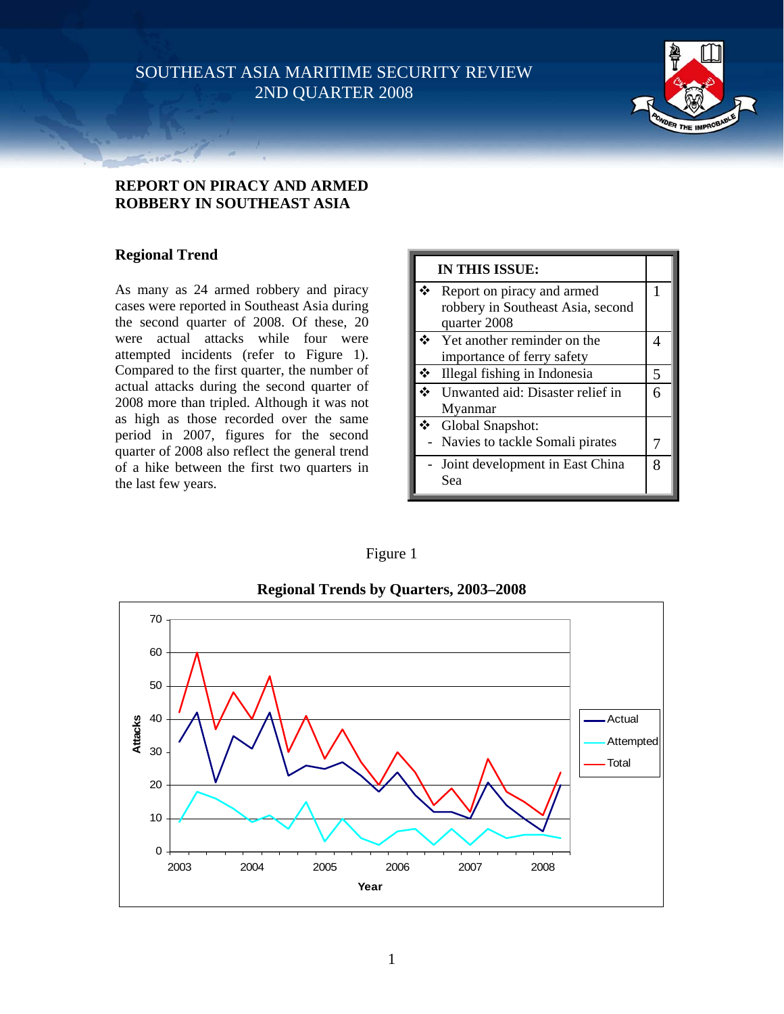SOUTHEAST ASIA MARITIME SECURITY REVIEW 2ND QUARTER 2008



# **REPORT ON PIRACY AND ARMED ROBBERY IN SOUTHEAST ASIA**

# **Regional Trend**

As many as 24 armed robbery and piracy cases were reported in Southeast Asia during the second quarter of 2008. Of these, 20 were actual attacks while four were attempted incidents (refer to Figure 1). Compared to the first quarter, the number of actual attacks during the second quarter of 2008 more than tripled. Although it was not as high as those recorded over the same period in 2007, figures for the second quarter of 2008 also reflect the general trend of a hike between the first two quarters in the last few years.

| IN THIS ISSUE: |                                   |   |
|----------------|-----------------------------------|---|
|                | Report on piracy and armed        | 1 |
|                | robbery in Southeast Asia, second |   |
|                | quarter 2008                      |   |
|                | Yet another reminder on the       | 4 |
|                | importance of ferry safety        |   |
|                | Illegal fishing in Indonesia      | 5 |
|                | Unwanted aid: Disaster relief in  | 6 |
|                | Myanmar                           |   |
|                | ❖ Global Snapshot:                |   |
|                | - Navies to tackle Somali pirates |   |
|                | - Joint development in East China | 8 |
|                | Sea                               |   |

Figure 1



**Regional Trends by Quarters, 2003–2008** 

1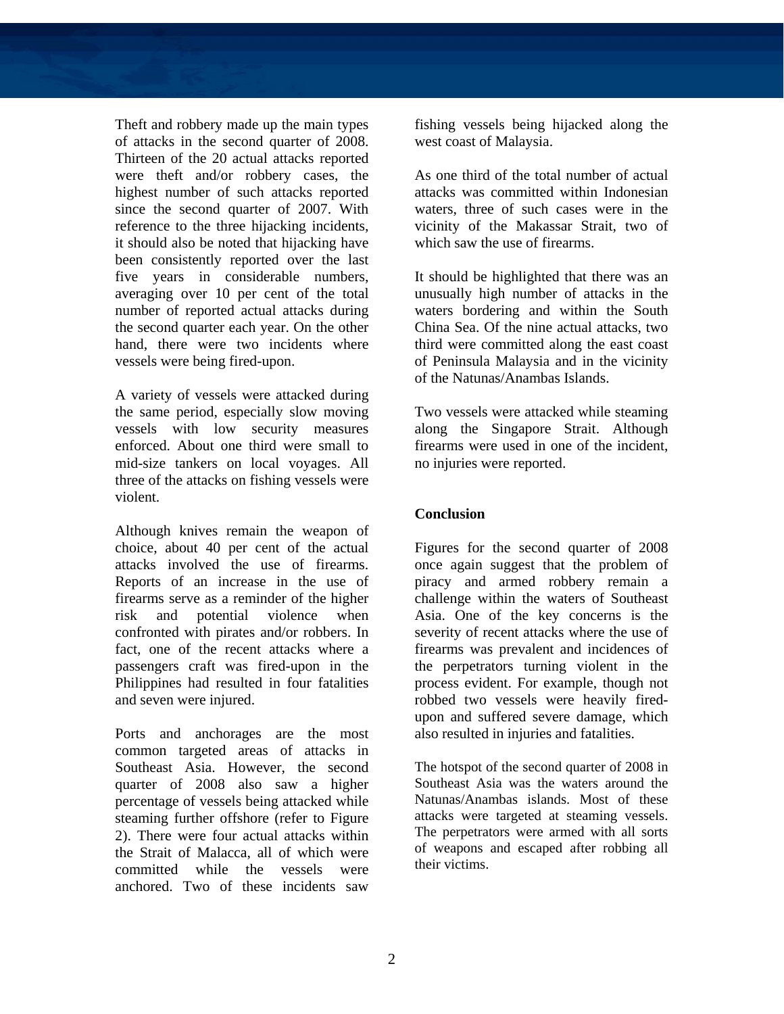Theft and robbery made up the main types of attacks in the second quarter of 2008. Thirteen of the 20 actual attacks reported were theft and/or robbery cases, the highest number of such attacks reported since the second quarter of 2007. With reference to the three hijacking incidents, it should also be noted that hijacking have been consistently reported over the last five years in considerable numbers, averaging over 10 per cent of the total number of reported actual attacks during the second quarter each year. On the other hand, there were two incidents where vessels were being fired-upon.

A variety of vessels were attacked during the same period, especially slow moving vessels with low security measures enforced. About one third were small to mid-size tankers on local voyages. All three of the attacks on fishing vessels were violent.

Although knives remain the weapon of choice, about 40 per cent of the actual attacks involved the use of firearms. Reports of an increase in the use of firearms serve as a reminder of the higher risk and potential violence when confronted with pirates and/or robbers. In fact, one of the recent attacks where a passengers craft was fired-upon in the Philippines had resulted in four fatalities and seven were injured.

Ports and anchorages are the most common targeted areas of attacks in Southeast Asia. However, the second quarter of 2008 also saw a higher percentage of vessels being attacked while steaming further offshore (refer to Figure 2). There were four actual attacks within the Strait of Malacca, all of which were committed while the vessels were anchored. Two of these incidents saw

fishing vessels being hijacked along the west coast of Malaysia.

As one third of the total number of actual attacks was committed within Indonesian waters, three of such cases were in the vicinity of the Makassar Strait, two of which saw the use of firearms.

It should be highlighted that there was an unusually high number of attacks in the waters bordering and within the South China Sea. Of the nine actual attacks, two third were committed along the east coast of Peninsula Malaysia and in the vicinity of the Natunas/Anambas Islands.

Two vessels were attacked while steaming along the Singapore Strait. Although firearms were used in one of the incident, no injuries were reported.

# **Conclusion**

Figures for the second quarter of 2008 once again suggest that the problem of piracy and armed robbery remain a challenge within the waters of Southeast Asia. One of the key concerns is the severity of recent attacks where the use of firearms was prevalent and incidences of the perpetrators turning violent in the process evident. For example, though not robbed two vessels were heavily firedupon and suffered severe damage, which also resulted in injuries and fatalities.

The hotspot of the second quarter of 2008 in Southeast Asia was the waters around the Natunas/Anambas islands. Most of these attacks were targeted at steaming vessels. The perpetrators were armed with all sorts of weapons and escaped after robbing all their victims.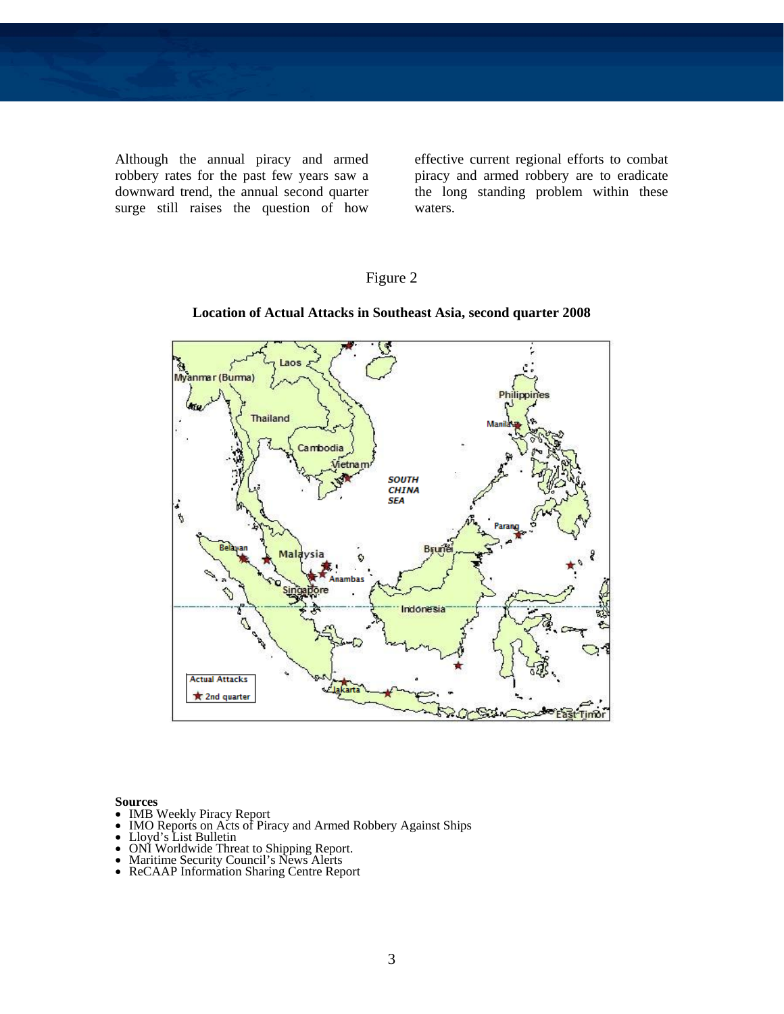Although the annual piracy and armed robbery rates for the past few years saw a downward trend, the annual second quarter surge still raises the question of how effective current regional efforts to combat piracy and armed robbery are to eradicate the long standing problem within these waters.

# Figure 2



### **Location of Actual Attacks in Southeast Asia, second quarter 2008**

- 
- IMB Weekly Piracy Report<br>• IMO Reports on Acts of Piracy and Armed Robbery Against Ships<br>• Lloyd's List Bulletin<br>• ONI Worldwide Threat to Shipping Report.<br>• Maritime Security Council's News Alerts<br>• ReCAAP Information S
- 
- 
- 
-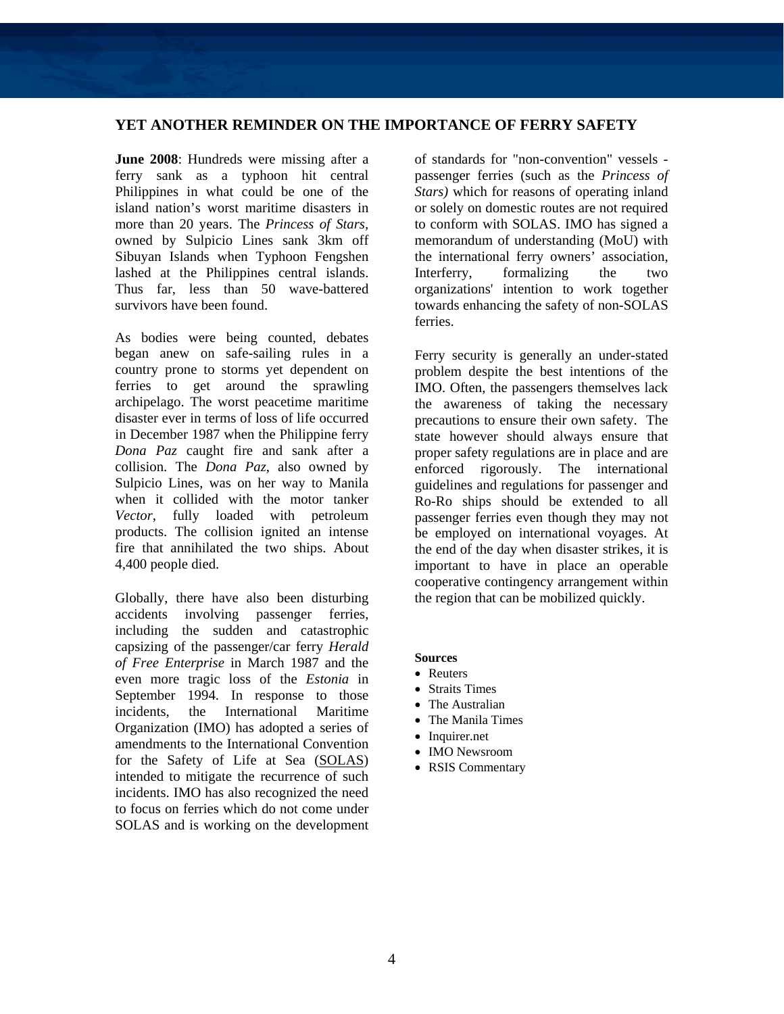### **YET ANOTHER REMINDER ON THE IMPORTANCE OF FERRY SAFETY**

**June 2008**: Hundreds were missing after a ferry sank as a typhoon hit central Philippines in what could be one of the island nation's worst maritime disasters in more than 20 years. The *Princess of Stars,*  owned by Sulpicio Lines sank 3km off Sibuyan Islands when Typhoon Fengshen lashed at the Philippines central islands. Thus far, less than 50 wave-battered survivors have been found.

As bodies were being counted, debates began anew on safe-sailing rules in a country prone to storms yet dependent on ferries to get around the sprawling archipelago. The worst peacetime maritime disaster ever in terms of loss of life occurred in December 1987 when the Philippine ferry *Dona Paz* caught fire and sank after a collision. The *Dona Paz*, also owned by Sulpicio Lines, was on her way to Manila when it collided with the motor tanker *Vector*, fully loaded with petroleum products. The collision ignited an intense fire that annihilated the two ships. About 4,400 people died.

Globally, there have also been disturbing accidents involving passenger ferries, including the sudden and catastrophic capsizing of the passenger/car ferry *Herald of Free Enterprise* in March 1987 and the even more tragic loss of the *Estonia* in September 1994. In response to those incidents, the International Maritime Organization (IMO) has adopted a series of amendments to the International Convention for the Safety of Life at Sea [\(SOLAS](http://www.imo.org/Conventions/contents.asp?topic_id=257&doc_id=647)) intended to mitigate the recurrence of such incidents. IMO has also recognized the need to focus on ferries which do not come under SOLAS and is working on the development of standards for "non-convention" vessels passenger ferries (such as the *Princess of Stars)* which for reasons of operating inland or solely on domestic routes are not required to conform with SOLAS. IMO has signed a memorandum of understanding (MoU) with the international ferry owners' association, Interferry, formalizing the two organizations' intention to work together towards enhancing the safety of non-SOLAS ferries.

Ferry security is generally an under-stated problem despite the best intentions of the IMO. Often, the passengers themselves lack the awareness of taking the necessary precautions to ensure their own safety. The state however should always ensure that proper safety regulations are in place and are enforced rigorously. The international guidelines and regulations for passenger and Ro-Ro ships should be extended to all passenger ferries even though they may not be employed on international voyages. At the end of the day when disaster strikes, it is important to have in place an operable cooperative contingency arrangement within the region that can be mobilized quickly.

- Reuters
- Straits Times
- The Australian
- The Manila Times
- Inquirer.net
- IMO Newsroom
- RSIS Commentary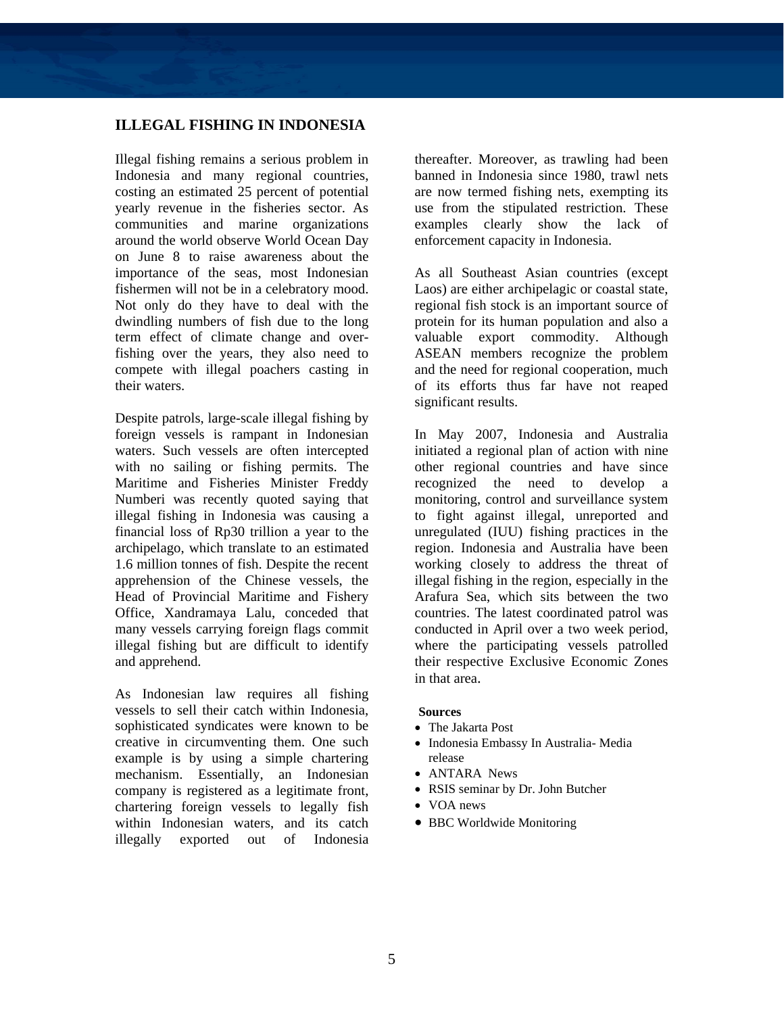## **ILLEGAL FISHING IN INDONESIA**

Illegal fishing remains a serious problem in Indonesia and many regional countries, costing an estimated 25 percent of potential yearly revenue in the fisheries sector. As communities and marine organizations around the world observe World Ocean Day on June 8 to raise awareness about the importance of the seas, most Indonesian fishermen will not be in a celebratory mood. Not only do they have to deal with the dwindling numbers of fish due to the long term effect of climate change and overfishing over the years, they also need to compete with illegal poachers casting in their waters.

Despite patrols, large-scale illegal fishing by foreign vessels is rampant in Indonesian waters. Such vessels are often intercepted with no sailing or fishing permits. The Maritime and Fisheries Minister Freddy Numberi was recently quoted saying that illegal fishing in Indonesia was causing a financial loss of Rp30 trillion a year to the archipelago, which translate to an estimated 1.6 million tonnes of fish. Despite the recent apprehension of the Chinese vessels, the Head of Provincial Maritime and Fishery Office, Xandramaya Lalu, conceded that many vessels carrying foreign flags commit illegal fishing but are difficult to identify and apprehend.

As Indonesian law requires all fishing vessels to sell their catch within Indonesia, sophisticated syndicates were known to be creative in circumventing them. One such example is by using a simple chartering mechanism. Essentially, an Indonesian company is registered as a legitimate front, chartering foreign vessels to legally fish within Indonesian waters, and its catch illegally exported out of Indonesia

thereafter. Moreover, as trawling had been banned in Indonesia since 1980, trawl nets are now termed fishing nets, exempting its use from the stipulated restriction. These examples clearly show the lack of enforcement capacity in Indonesia.

As all Southeast Asian countries (except Laos) are either archipelagic or coastal state, regional fish stock is an important source of protein for its human population and also a valuable export commodity. Although ASEAN members recognize the problem and the need for regional cooperation, much of its efforts thus far have not reaped significant results.

In May 2007, Indonesia and Australia initiated a regional plan of action with nine other regional countries and have since recognized the need to develop a monitoring, control and surveillance system to fight against illegal, unreported and unregulated (IUU) fishing practices in the region. Indonesia and Australia have been working closely to address the threat of illegal fishing in the region, especially in the Arafura Sea, which sits between the two countries. The latest coordinated patrol was conducted in April over a two week period, where the participating vessels patrolled their respective Exclusive Economic Zones in that area.

- The Jakarta Post
- Indonesia Embassy In Australia- Media release
- ANTARA News
- RSIS seminar by Dr. John Butcher
- VOA news
- BBC Worldwide Monitoring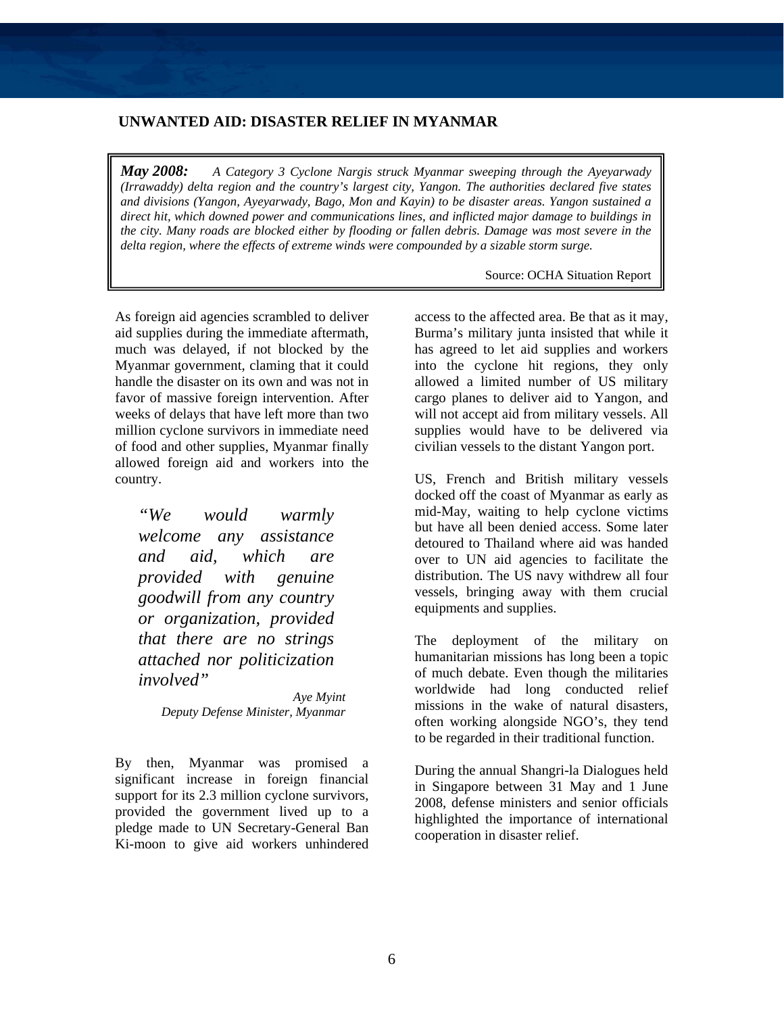# **UNWANTED AID: DISASTER RELIEF IN MYANMAR**

*May 2008: A Category 3 Cyclone Nargis struck Myanmar sweeping through the Ayeyarwady (Irrawaddy) delta region and the country's largest city, Yangon. The authorities declared five states and divisions (Yangon, Ayeyarwady, Bago, Mon and Kayin) to be disaster areas. Yangon sustained a direct hit, which downed power and communications lines, and inflicted major damage to buildings in the city. Many roads are blocked either by flooding or fallen debris. Damage was most severe in the delta region, where the effects of extreme winds were compounded by a sizable storm surge.* 

Source: OCHA Situation Report

As foreign aid agencies scrambled to deliver aid supplies during the immediate aftermath, much was delayed, if not blocked by the Myanmar government, claming that it could handle the disaster on its own and was not in favor of massive foreign intervention. After weeks of delays that have left more than two million cyclone survivors in immediate need of food and other supplies, Myanmar finally allowed foreign aid and workers into the country.

*"We would warmly welcome any assistance and aid, which are provided with genuine goodwill from any country or organization, provided that there are no strings attached nor politicization involved" Aye Myint* 

 *Deputy Defense Minister, Myanmar* 

By then, Myanmar was promised a significant increase in foreign financial support for its 2.3 million cyclone survivors, provided the government lived up to a pledge made to UN Secretary-General Ban Ki-moon to give aid workers unhindered access to the affected area. Be that as it may, Burma's military junta insisted that while it has agreed to let aid supplies and workers into the cyclone hit regions, they only allowed a limited number of US military cargo planes to deliver aid to Yangon, and will not accept aid from military vessels. All supplies would have to be delivered via civilian vessels to the distant Yangon port.

US, French and British military vessels docked off the coast of Myanmar as early as mid-May, waiting to help cyclone victims but have all been denied access. Some later detoured to Thailand where aid was handed over to UN aid agencies to facilitate the distribution. The US navy withdrew all four vessels, bringing away with them crucial equipments and supplies.

The deployment of the military on humanitarian missions has long been a topic of much debate. Even though the militaries worldwide had long conducted relief missions in the wake of natural disasters, often working alongside NGO's, they tend to be regarded in their traditional function.

During the annual Shangri-la Dialogues held in Singapore between 31 May and 1 June 2008, defense ministers and senior officials highlighted the importance of international cooperation in disaster relief.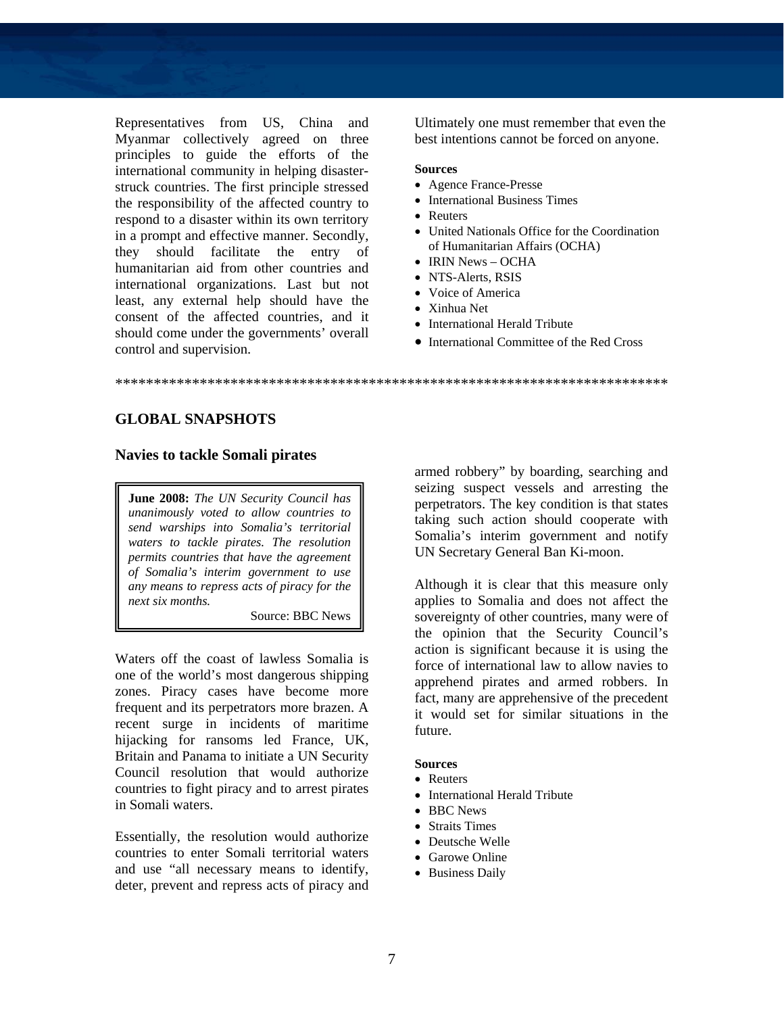Representatives from US, China and Myanmar collectively agreed on three principles to guide the efforts of the international community in helping disasterstruck countries. The first principle stressed the responsibility of the affected country to respond to a disaster within its own territory in a prompt and effective manner. Secondly, they should facilitate the entry of humanitarian aid from other countries and international organizations. Last but not least, any external help should have the consent of the affected countries, and it should come under the governments' overall control and supervision.

Ultimately one must remember that even the best intentions cannot be forced on anyone.

#### **Sources**

- Agence France-Presse
- International Business Times
- Reuters
- United Nationals Office for the Coordination of Humanitarian Affairs (OCHA)
- IRIN News OCHA
- NTS-Alerts, RSIS
- Voice of America
- Xinhua Net
- International Herald Tribute
- International Committee of the Red Cross

\*\*\*\*\*\*\*\*\*\*\*\*\*\*\*\*\*\*\*\*\*\*\*\*\*\*\*\*\*\*\*\*\*\*\*\*\*\*\*\*\*\*\*\*\*\*\*\*\*\*\*\*\*\*\*\*\*\*\*\*\*\*\*\*\*\*\*\*\*\*\*\*

## **GLOBAL SNAPSHOTS**

### **Navies to tackle Somali pirates**

**June 2008:** *The UN Security Council has unanimously voted to allow countries to send warships into Somalia's territorial waters to tackle pirates. The resolution permits countries that have the agreement of Somalia's interim government to use any means to repress acts of piracy for the next six months.* 

Source: BBC News

Waters off the coast of lawless Somalia is one of the world's most dangerous shipping zones. Piracy cases have become more frequent and its perpetrators more brazen. A recent surge in incidents of maritime hijacking for ransoms led France, UK, Britain and Panama to initiate a UN Security Council resolution that would authorize countries to fight piracy and to arrest pirates in Somali waters.

Essentially, the resolution would authorize countries to enter Somali territorial waters and use "all necessary means to identify, deter, prevent and repress acts of piracy and armed robbery" by boarding, searching and seizing suspect vessels and arresting the perpetrators. The key condition is that states taking such action should cooperate with Somalia's interim government and notify UN Secretary General Ban Ki-moon.

Although it is clear that this measure only applies to Somalia and does not affect the sovereignty of other countries, many were of the opinion that the Security Council's action is significant because it is using the force of international law to allow navies to apprehend pirates and armed robbers. In fact, many are apprehensive of the precedent it would set for similar situations in the future.

#### **Sources**  • Reuters

- International Herald Tribute
- BBC News
- Straits Times
- Deutsche Welle
- Garowe Online
- Business Daily